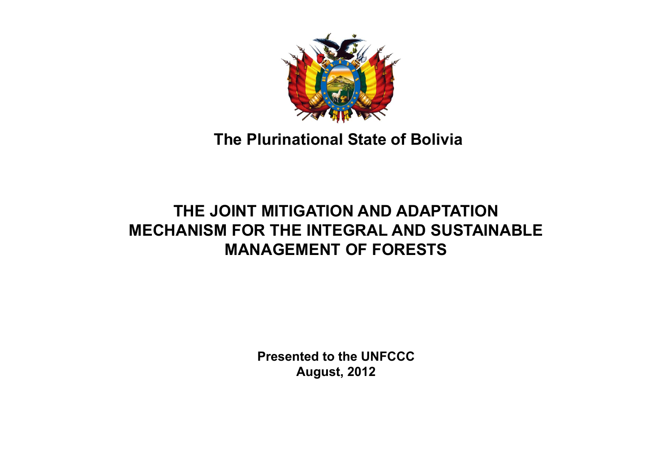

### **The Plurinational State of Bolivia**

### **THE JOINT MITIGATION AND ADAPTATION MECHANISM FOR THE INTEGRAL AND SUSTAINABLE MANAGEMENT OF FORESTS**

**Presented to the UNFCCCAugust, 2012**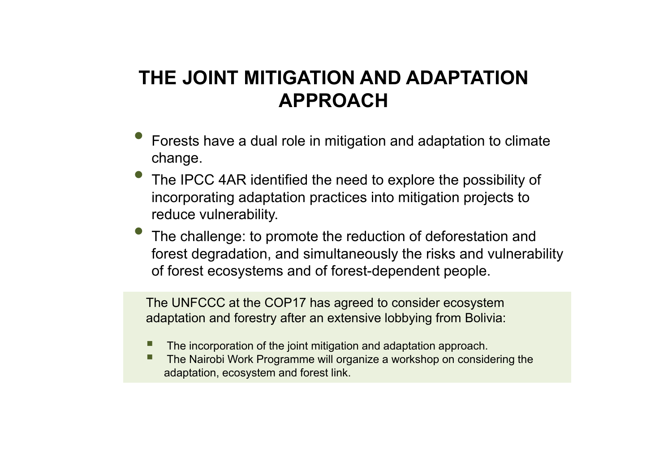# **THE JOINT MITIGATION AND ADAPTATION APPROACH**

- $\bullet$  Forests have a dual role in mitigation and adaptation to climate change.
- $\bullet$  The IPCC 4AR identified the need to explore the possibility of incorporating adaptation practices into mitigation projects to reduce vulnerability.
- $\bullet$  The challenge: to promote the reduction of deforestation and forest degradation, and simultaneously the risks and vulnerability of forest ecosystems and of forest-dependent people.

The UNFCCC at the COP17 has agreed to consider ecosystem adaptation and forestry after an extensive lobbying from Bolivia:

- **Service Service** The incorporation of the joint mitigation and adaptation approach.
- П The Nairobi Work Programme will organize a workshop on considering the adaptation, ecosystem and forest link.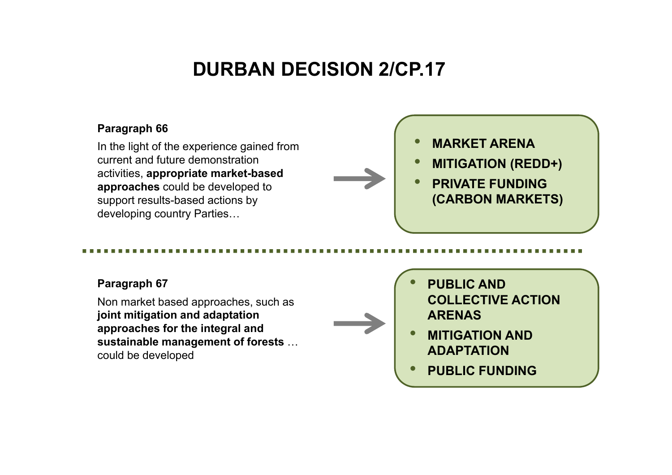# **DURBAN DECISION 2/CP.17**

#### **Paragraph 66**

In the light of the experience gained from current and future demonstration activities, **appropriate market-based approaches** could be developed to support results-based actions by developing country Parties…

•**MARKET ARENA**

- $\bullet$ **MITIGATION (REDD+)**
- • **PRIVATE FUNDING (CARBON MARKETS)**

#### **Paragraph 67**

Non market based approaches, such as **joint mitigation and adaptation approaches for the integral and sustainable management of forests** … could be developed

**COLLECTIVE ACTION ARENAS**

 $\bullet$ 

• **MITIGATION AND ADAPTATION** 

**PUBLIC AND** 

•**PUBLIC FUNDING**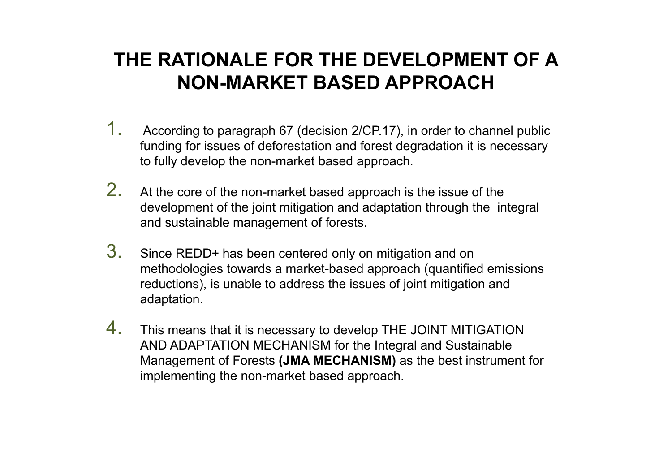# **THE RATIONALE FOR THE DEVELOPMENT OF A NON-MARKET BASED APPROACH**

- 1. According to paragraph 67 (decision 2/CP.17), in order to channel public funding for issues of deforestation and forest degradation it is necessary to fully develop the non-market based approach.
- 2. At the core of the non-market based approach is the issue of the development of the joint mitigation and adaptation through the integral and sustainable management of forests.
- 3. Since REDD+ has been centered only on mitigation and on methodologies towards a market-based approach (quantified emissions reductions), is unable to address the issues of joint mitigation and adaptation.
- 4. This means that it is necessary to develop THE JOINT MITIGATION AND ADAPTATION MECHANISM for the Integral and Sustainable Management of Forests **(JMA MECHANISM)** as the best instrument for implementing the non-market based approach.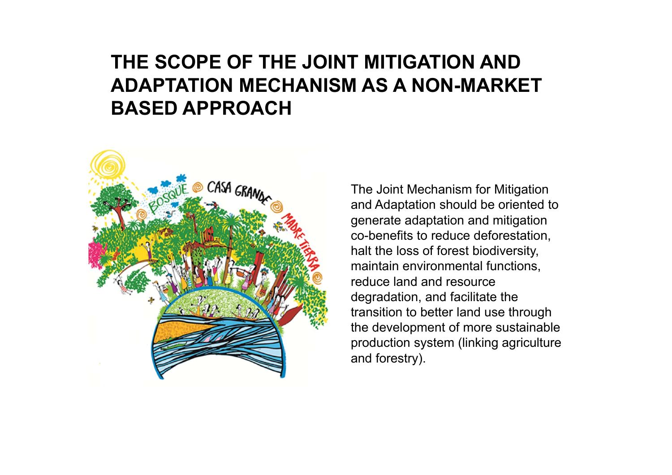# **THE SCOPE OF THE JOINT MITIGATION AND ADAPTATION MECHANISM AS A NON-MARKET BASED APPROACH**



The Joint Mechanism for Mitigation and Adaptation should be oriented to generate adaptation and mitigation co-benefits to reduce deforestation, halt the loss of forest biodiversity, maintain environmental functions, reduce land and resource degradation, and facilitate the transition to better land use through the development of more sustainable production system (linking agriculture and forestry).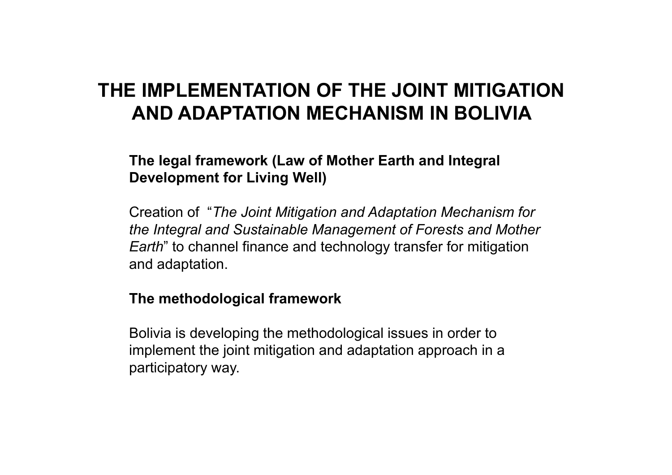# **THE IMPLEMENTATION OF THE JOINT MITIGATION AND ADAPTATION MECHANISM IN BOLIVIA**

#### **The legal framework (Law of Mother Earth and Integral Development for Living Well)**

Creation of "*The Joint Mitigation and Adaptation Mechanism for the Integral and Sustainable Management of Forests and Mother Earth*" to channel finance and technology transfer for mitigation and adaptation.

#### **The methodological framework**

Bolivia is developing the methodological issues in order to implement the joint mitigation and adaptation approach in a participatory way.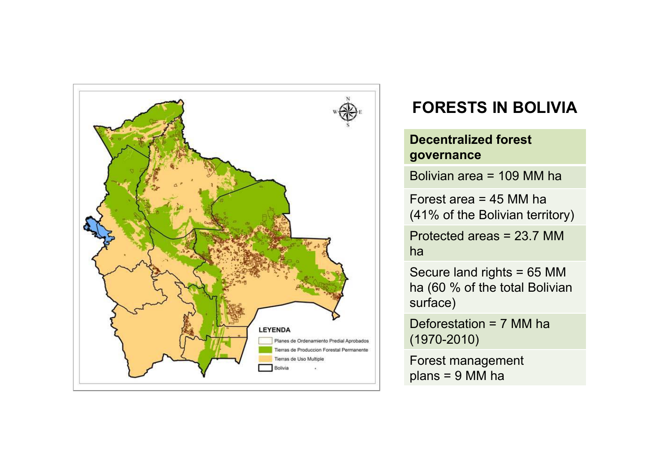

### **FORESTS IN BOLIVIA**

#### **Decentralized forest governance**

Bolivian area = 109 MM ha

Forest area = 45 MM ha(41% of the Bolivian territory)

Protected areas = 23.7 MM ha

Secure land rights = 65 MM ha (60 % of the total Bolivian surface)

Deforestation = 7 MM ha (1970-2010)

Forest management plans = 9 MM ha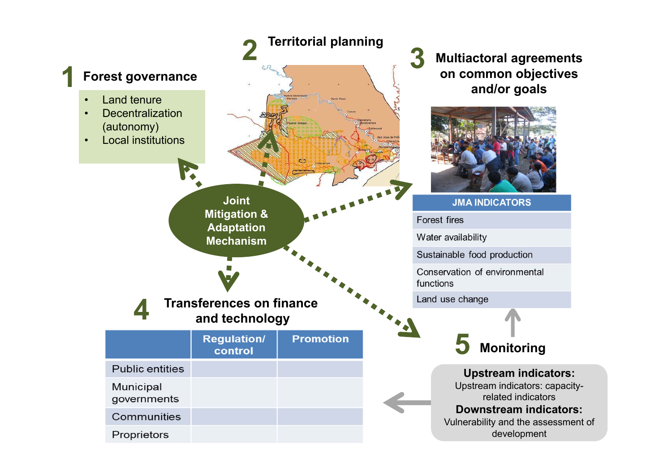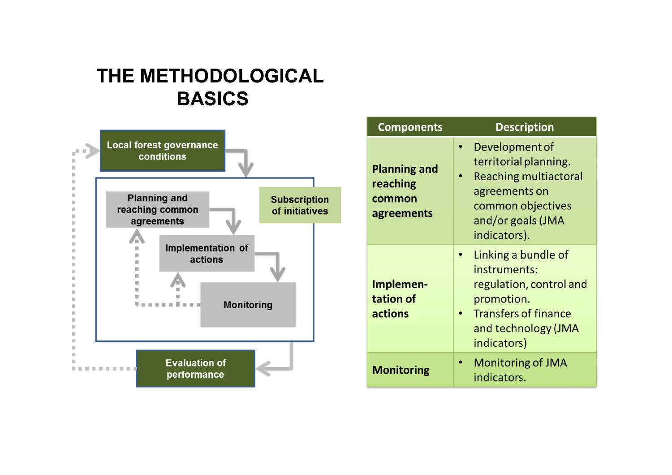### **THE METHODOLOGICAL BASICS**



| <b>Components</b>                                       | <b>Description</b>                                                                                                                                 |
|---------------------------------------------------------|----------------------------------------------------------------------------------------------------------------------------------------------------|
| <b>Planning and</b><br>reaching<br>common<br>agreements | Development of<br>territorial planning.<br><b>Reaching multiactoral</b><br>agreements on<br>common objectives<br>and/or goals (JMA<br>indicators). |
| Implemen-<br>tation of<br>actions                       | Linking a bundle of<br>instruments:<br>regulation, control and<br>promotion.<br><b>Transfers of finance</b><br>and technology (JMA<br>indicators)  |
| <b>Monitoring</b>                                       | <b>Monitoring of JMA</b><br>indicators.                                                                                                            |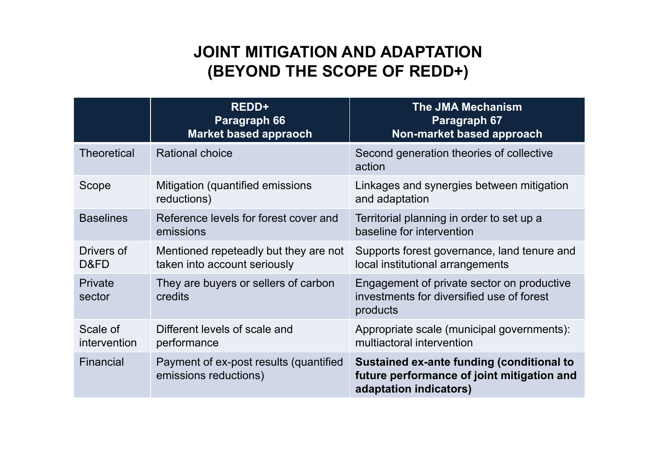### **JOINT MITIGATION AND ADAPTATION (BEYOND THE SCOPE OF REDD+)**

|                          | <b>REDD+</b><br>Paragraph 66<br>Market based appraoch                 | <b>The JMA Mechanism</b><br>Paragraph 67<br>Non-market based approach                                             |
|--------------------------|-----------------------------------------------------------------------|-------------------------------------------------------------------------------------------------------------------|
| <b>Theoretical</b>       | <b>Rational choice</b>                                                | Second generation theories of collective<br>action                                                                |
| Scope                    | Mitigation (quantified emissions)<br>reductions)                      | Linkages and synergies between mitigation<br>and adaptation                                                       |
| <b>Baselines</b>         | Reference levels for forest cover and<br>emissions                    | Territorial planning in order to set up a<br>baseline for intervention                                            |
| Drivers of<br>D&FD       | Mentioned repeteadly but they are not<br>taken into account seriously | Supports forest governance, land tenure and<br>local institutional arrangements                                   |
| Private<br>sector        | They are buyers or sellers of carbon<br>credits                       | Engagement of private sector on productive<br>investments for diversified use of forest<br>products               |
| Scale of<br>intervention | Different levels of scale and<br>performance                          | Appropriate scale (municipal governments):<br>multiactoral intervention                                           |
| Financial                | Payment of ex-post results (quantified<br>emissions reductions)       | Sustained ex-ante funding (conditional to<br>future performance of joint mitigation and<br>adaptation indicators) |